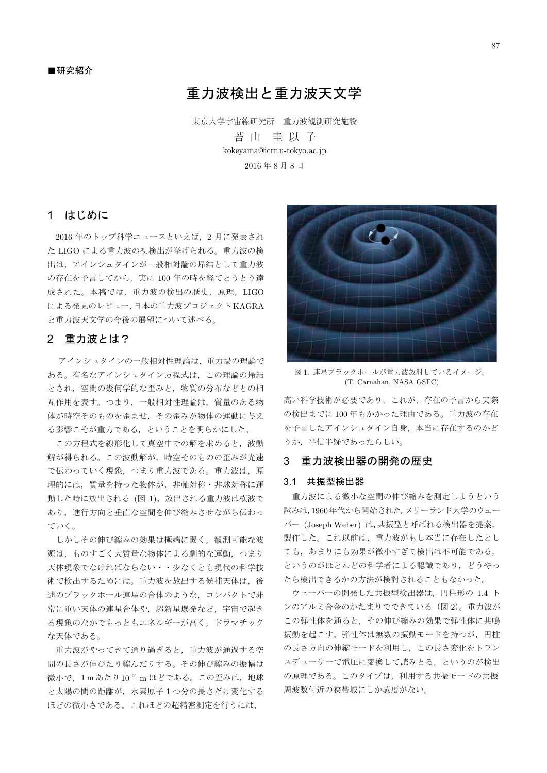# 重力波検出と重力波天文学

東京大学宇宙線研究所 重力波観測研究施設

苔山 圭以子 kokeyama@icrr.u-tokyo.ac.jp 2016年8月8日

# 1 はじめに

2016年のトップ科学ニュースといえば、2月に発表され た LIGO による重力波の初検出が挙げられる。重力波の検 出は、アインシュタインが一般相対論の帰結として重力波 の存在を予言してから、実に 100年の時を経てとうとう達 成された。本稿では、重力波の検出の歴史、原理、LIGO による発見のレビュー,日本の重力波プロジェクトKAGRA と重力波天文学の今後の展望について述べる。

# 2 重力波とは?

アインシュタインの一般相対性理論は、重力場の理論で ある。有名なアインシュタイン方程式は、この理論の帰結 とされ、空間の幾何学的な歪みと、物質の分布などとの相 互作用を表す。つまり、一般相対性理論は、質量のある物 体が時空そのものを歪ませ、その歪みが物体の運動に与え る影響こそが重力である、ということを明らかにした。

この方程式を線形化して真空中での解を求めると、波動 解が得られる。この波動解が、時空そのものの歪みが光速 で伝わっていく現象、つまり重力波である。重力波は、原 理的には、質量を持った物体が、非軸対称・非球対称に運 動した時に放出される (図 1)。放出される重力波は横波で あり、進行方向と垂直な空間を伸び縮みさせながら伝わっ ていく。

しかしその伸び縮みの効果は極端に弱く、観測可能な波 源は、ものすごく大質量な物体による劇的な運動、つまり 天体現象でなければならない・・少なくとも現代の科学技 術で検出するためには。重力波を放出する候補天体は、後 述のブラックホール連星の合体のような、コンパクトで非 常に重い天体の連星合体や、超新星爆発など、宇宙で起き る現象のなかでもっともエネルギーが高く、ドラマチック な天体である。

重力波がやってきて通り過ぎると、重力波が通過する空 間の長さが伸びたり縮んだりする。その伸び縮みの振幅は 微小で、1mあたり10<sup>-21</sup>mほどである。この歪みは、地球 と太陽の間の距離が、水素原子1つ分の長さだけ変化する ほどの微小さである。これほどの超精密測定を行うには,



図1. 連星ブラックホールが重力波放射していろイメージ。 (T. Carnahan, NASA GSFC)

高い科学技術が必要であり、これが、存在の予言から実際 の検出までに100年もかかった理由である。重力波の存在 を予言したアインシュタイン自身、本当に存在するのかど うか、半信半疑であったらしい。

# 3 重力波検出器の開発の歴史

#### 3.1 共振型検出器

重力波による微小な空間の伸び縮みを測定しようという 試みは,1960年代から開始された。メリーランド大学のウェー バー (Joseph Weber) は,共振型と呼ばれる検出器を提案, 製作した。これ以前は、重力波がもし本当に存在したとし ても、あまりにも効果が微小すぎて検出は不可能である, というのがほとんどの科学者による認識であり、どうやっ たら検出できるかの方法が検討されることもなかった。

ウェーバーの開発した共振型検出器は、円柱形の 1.4 ト ンのアルミ合金のかたまりでできている (図2)。重力波が この弾性体を通ると、その伸び縮みの効果で弾性体に共鳴 振動を起こす。弾性体は無数の振動モードを持つが、円柱 の長さ方向の伸縮モードを利用し、この長さ変化をトラン スデューサーで電圧に変換して読みとる、というのが検出 の原理である。このタイプは、利用する共振モードの共振 周波数付近の狭帯域にしか感度がない。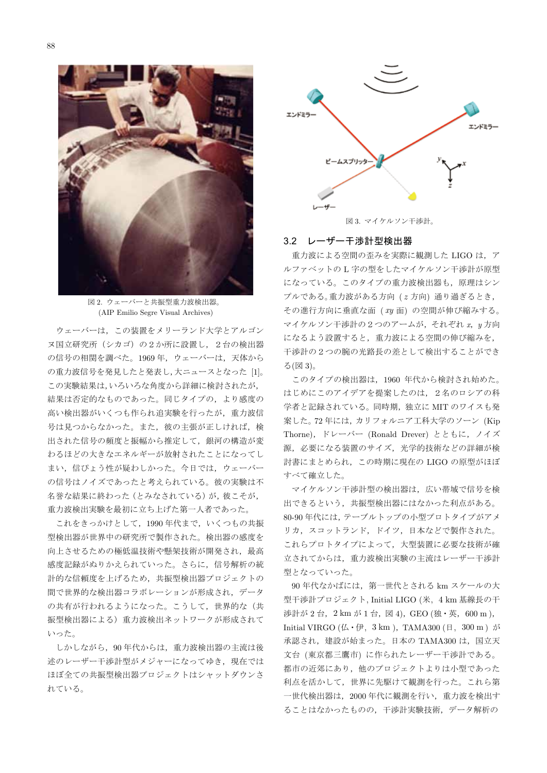88



図 2. ウェーバーと共振型重力波検出器。 (AIP Emilio Segre Visual Archives)

ウェーバーは、この装置をメリーランド大学とアルゴン ヌ国立研究所 (シカゴ)の2か所に設置し、2台の検出器 の信号の相関を調べた。1969年、ウェーバーは、天体から の重力波信号を発見したと発表し、大ニュースとなった [1]。 この実験結果は、いろいろな角度から詳細に検討されたが, 結果は否定的なものであった。同じタイプの、より感度の 高い検出器がいくつも作られ追実験を行ったが、重力波信 号は見つからなかった。また、彼の主張が正しければ、検 出された信号の頻度と振幅から推定して、銀河の構造が変 わるほどの大きなエネルギーが放射されたことになってし まい、信ぴょう性が疑わしかった。今日では、ウェーバー の信号はノイズであったと考えられている。彼の実験は不 名誉な結果に終わった (とみなされている)が、彼こそが, 重力波検出実験を最初に立ち上げた第一人者であった。

これをきっかけとして、1990年代まで、いくつもの共振 型検出器が世界中の研究所で製作された。検出器の感度を 向上させるための極低温技術や懸架技術が開発され、最高 感度記録がぬりかえられていった。さらに、信号解析の統 計的な信頼度を上げるため、共振型検出器プロジェクトの 間で世界的な検出器コラボレーションが形成され、データ の共有が行われるようになった。こうして、世界的な(共 振型検出器による) 重力波検出ネットワークが形成されて いった

しかしながら、90年代からは、重力波検出器の主流は後 述のレーザー干渉計型がメジャーになってゆき、現在では ほぼ全ての共振型検出器プロジェクトはシャットダウンさ れている。



図 3. マイケルソン干渉計。

#### 3.2 レーザー干渉計型検出器

重力波による空間の歪みを実際に観測した LIGO は、ア ルファベットのL字の型をしたマイケルソン干渉計が原型 になっている。このタイプの重力波検出器も、原理はシン プルである。重力波がある方向 (z方向) 通り過ぎるとき, その進行方向に垂直な面 (xy 面)の空間が伸び縮みする。 マイケルソン干渉計の2つのアームが、それぞれ x, u方向 になるよう設置すると、重力波による空間の伸び縮みを, 干渉計の2つの腕の光路長の差として検出することができ る(図3)。

このタイプの検出器は、1960年代から検討され始めた。 はじめにこのアイデアを提案したのは、2名のロシアの科 学者と記録されている。同時期,独立に MIT のワイスも発 案した。72年には、カリフォルニア工科大学のソーン (Kip Thorne), ドレーバー (Ronald Drever) とともに, ノイズ 源、必要になる装置のサイズ、光学的技術などの詳細が検 討書にまとめられ、この時期に現在の LIGO の原型がほぼ すべて確立した。

マイケルソン干渉計型の検出器は、広い帯域で信号を検 出できるという、共振型検出器にはなかった利点がある。 80-90年代には、テーブルトップの小型プロトタイプがアメ リカ、スコットランド、ドイツ、日本などで製作された。 これらプロトタイプによって、大型装置に必要な技術が確 立されてからは、重力波検出実験の主流はレーザー干渉計 型となっていった。

90年代なかばには、第一世代とされる km スケールの大 型干渉計プロジェクト, Initial LIGO (米, 4 km 基線長の干 涉計が 2台, 2km が 1台, 図 4), GEO (独・英, 600 m), Initial VIRGO ( $\angle$  +  $\oplus$ , 3 km), TAMA300 ( $\boxplus$ , 300 m)  $\breve{\partial}$ <sup>3</sup> 承認され、建設が始まった。日本の TAMA300 は、国立天 文台 (東京都三鷹市)に作られたレーザー干渉計である。 都市の近郊にあり、他のプロジェクトよりは小型であった 利点を活かして、世界に先駆けて観測を行った。これら第 一世代検出器は、2000年代に観測を行い、重力波を検出す ることはなかったものの、干渉計実験技術、データ解析の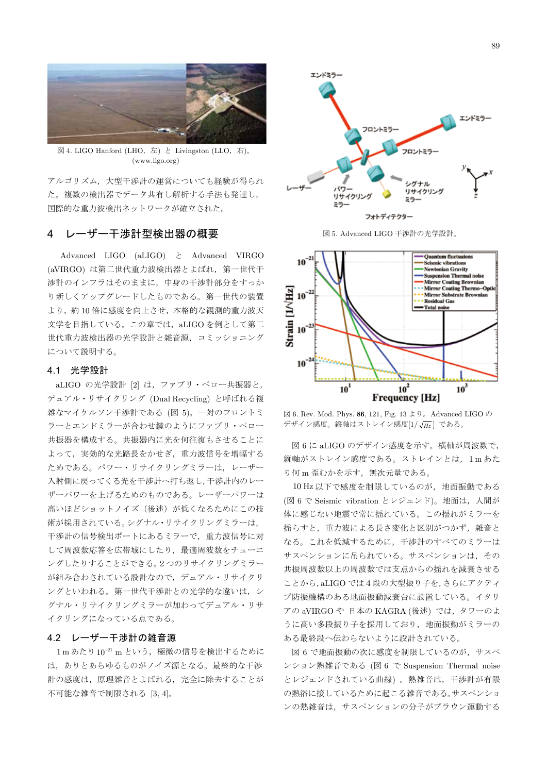

図 4. LIGO Hanford (LHO, 左) と Livingston (LLO, 右)。  $(www.ligo.org)$ 

アルゴリズム、大型干渉計の運営についても経験が得られ た。複数の検出器でデータ共有し解析する手法も発達し, 国際的な重力波検出ネットワークが確立された。

#### レーザー干渉計型検出器の概要 4

Advanced LIGO (aLIGO) と Advanced VIRGO (aVIRGO)は第二世代重力波検出器とよばれ、第一世代干 渉計のインフラはそのままに、中身の干渉計部分をすっか り新しくアップグレードしたものである。第一世代の装置 より、約10倍に感度を向上させ、本格的な観測的重力波天 文学を目指している。この章では、aLIGOを例として第二 世代重力波検出器の光学設計と雑音源、コミッショニング について説明する。

# 4.1 光学設計

aLIGO の光学設計 [2] は、ファブリ・ペロー共振器と, デュアル・リサイクリング (Dual Recycling) と呼ばれる複 雑なマイケルソン干渉計である (図 5)。一対のフロントミ ラーとエンドミラーが合わせ鏡のようにファブリ・ペロー 共振器を構成する。共振器内に光を何往復もさせることに よって、実効的な光路長をかせぎ、重力波信号を増幅する ためである。パワー・リサイクリングミラーは、レーザー 入射側に戻ってくる光を干渉計へ打ち返し,干渉計内のレー ザーパワーを上げるためのものである。レーザーパワーは 高いほどショットノイズ(後述)が低くなるためにこの技 術が採用されている。シグナル・リサイクリングミラーは, 干渉計の信号検出ポートにあるミラーで、重力波信号に対 して周波数応答を広帯域にしたり、最適周波数をチューニ ングしたりすることができる。2つのリサイクリングミラー が組み合わされている設計なので、デュアル・リサイクリ ングといわれる。第一世代干渉計との光学的な違いは、シ グナル・リサイクリングミラーが加わってデュアル・リサ イクリングになっている点である。

# 4.2 レーザー干渉計の雑音源

1mあたり10-21 m という、極微の信号を検出するために は、ありとあらゆるものがノイズ源となる。最終的な干渉 計の感度は、原理雑音とよばれる、完全に除去することが 不可能な雑音で制限される [3,4]。



図 5. Advanced LIGO 干渉計の光学設計。



⊠ 6. Rev. Mod. Phys. 86, 121, Fig. 13  $\downarrow$   $\theta$  。Advanced LIGO  $\oslash$ デザイン感度。縦軸はストレイン感度 $[1/\sqrt{\textit{Hz}}]$ である。

図 6 に aLIGO のデザイン感度を示す。横軸が周波数で, 縦軸がストレイン感度である。ストレインとは、1mあた り何m歪むかを示す、無次元量である。

10 Hz 以下で感度を制限しているのが、地面振動である (図6で Seismic vibration とレジェンド)。地面は、人間が 体に感じない地震で常に揺れている。この揺れがミラーを 揺らすと、重力波による長さ変化と区別がつかず、雑音と なる。これを低減するために、干渉計のすべてのミラーは サスペンションに吊られている。サスペンションは、その 共振周波数以上の周波数では支点からの揺れを減衰させる ことから, aLIGO では4段の大型振り子を, さらにアクティ ブ防振機構のある地面振動減衰台に設置している。イタリ アの aVIRGO や 日本の KAGRA (後述) では、タワーのよ うに高い多段振り子を採用しており、地面振動がミラーの ある最終段へ伝わらないように設計されている。

図6で地面振動の次に感度を制限しているのが、サスペ ンション熱雑音である (図 6 で Suspension Thermal noise とレジェンドされている曲線)。熱雑音は、干渉計が有限 の熱浴に接しているために起こる雑音である。サスペンショ ンの熱雑音は、サスペンションの分子がブラウン運動する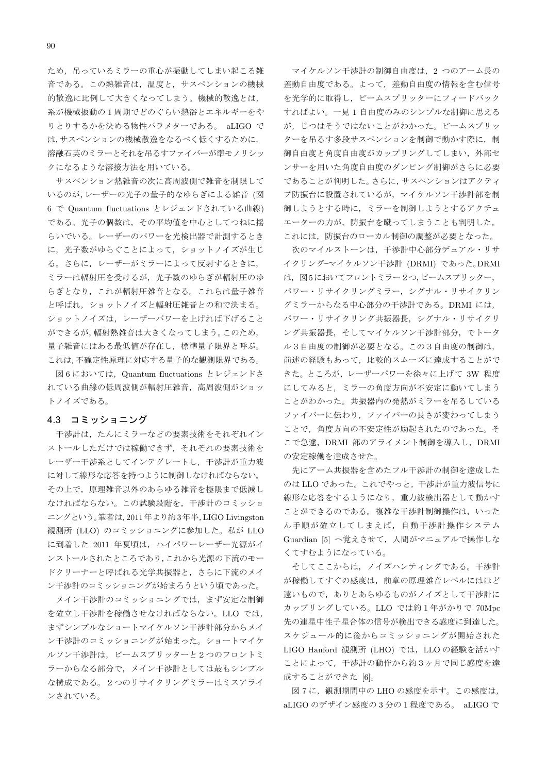ため、吊っているミラーの重心が振動してしまい起こる雑 音である。この熱雑音は、温度と、サスペンションの機械 的散逸に比例して大きくなってしまう。機械的散逸とは、 系が機械振動の1周期でどのぐらい熱浴とエネルギーをや りとりするかを決める物性パラメターである。 aLIGO で は、サスペンションの機械散逸をなるべく低くするために. 溶融石英のミラーとそれを吊るすファイバーが準モノリシッ クになるような溶接方法を用いている。

サスペンション熱雑音の次に高周波側で雑音を制限して いるのが、レーザーの光子の量子的なゆらぎによる雑音(図 6 で Quantum fluctuations とレジェンドされている曲線) である。光子の個数は、その平均値を中心としてつねに揺 らいでいる。レーザーのパワーを光検出器で計測するとき に、光子数がゆらぐことによって、ショットノイズが生じ る。さらに、レーザーがミラーによって反射するときに、 ミラーは輻射圧を受けるが、光子数のゆらぎが輻射圧のゆ らぎとなり、これが輻射圧雑音となる。これらは量子雑音 と呼ばれ、ショットノイズと輻射圧雑音との和で決まる。 ショットノイズは、レーザーパワーを上げれば下げること ができるが, 輻射熱雑音は大きくなってしまう。このため, 量子雑音にはある最低値が存在し、標準量子限界と呼ぶ。 これは、不確定性原理に対応する量子的な観測限界である。

図6においては、Quantum fluctuations とレジェンドさ れている曲線の低周波側が輻射圧雑音、高周波側がショッ トノイズである。

#### 4.3 コミッショニング

干渉計は、たんにミラーなどの要素技術をそれぞれイン ストールしただけでは稼働できず、それぞれの要素技術を レーザー干渉系としてインテグレートし、干渉計が重力波 に対して線形な応答を持つように制御しなければならない。 その上で、原理雑音以外のあらゆる雑音を極限まで低減し なければならない。この試験段階を、干渉計のコミッショ ニングという。筆者は, 2011年より約3年半, LIGO Livingston 観測所 (LLO) のコミッショニングに参加した。私が LLO に到着した 2011 年夏頃は、ハイパワーレーザー光源がイ ンストールされたところであり、これから光源の下流のモー ドクリーナーと呼ばれる光学共振器と、さらに下流のメイ ン干渉計のコミッショニングが始まろうという頃であった。

メイン干渉計のコミッショニングでは、まず安定な制御 を確立し干渉計を稼働させなければならない。LLO では, まずシンプルなショートマイケルソン干渉計部分からメイ ン干渉計のコミッショニングが始まった。ショートマイケ ルソン干渉計は、ビームスプリッターと2つのフロントミ ラーからなる部分で、メイン干渉計としては最もシンプル な構成である。2つのリサイクリングミラーはミスアライ ンされている。

マイケルソン干渉計の制御自由度は、2つのアーム長の 差動自由度である。よって、差動自由度の情報を含む信号 を光学的に取得し、ビームスプリッターにフィードバック すればよい。一見1自由度のみのシンプルな制御に思える が、じつはそうではないことがわかった。ビームスプリッ ターを吊るす多段サスペンションを制御で動かす際に、制 御自由度と角度自由度がカップリングしてしまい、外部セ ンサーを用いた角度自由度のダンピング制御がさらに必要 であることが判明した。さらに、サスペンションはアクティ ブ防振台に設置されているが、マイケルソン干渉計部を制 御しようとする時に、ミラーを制御しようとするアクチュ エーターの力が、防振台を蹴ってしまうことも判明した。 これには、防振台のローカル制御の調整が必要となった。

次のマイルストーンは、干渉計中心部分デュアル・リサ イクリングーマイケルソン干渉計 (DRMI) であった。DRMI は、図5においてフロントミラー2つ、ビームスプリッター、 パワー・リサイクリングミラー、シグナル・リサイクリン グミラーからなる中心部分の干渉計である。DRMIには, パワー・リサイクリング共振器長、シグナル・リサイクリ ング共振器長、そしてマイケルソン干渉計部分、でトータ ル3自由度の制御が必要となる。この3自由度の制御は, 前述の経験もあって、比較的スムーズに達成することがで きた。ところが, レーザーパワーを徐々に上げて 3W 程度 にしてみると、ミラーの角度方向が不安定に動いてしまう ことがわかった。共振器内の発熱がミラーを吊るしている ファイバーに伝わり、ファイバーの長さが変わってしまう ことで、角度方向の不安定性が励起されたのであった。そ こで急遽, DRMI 部のアライメント制御を導入し, DRMI の安定稼働を達成させた。

先にアーム共振器を含めたフル干渉計の制御を達成した のは LLO であった。これでやっと、干渉計が重力波信号に 線形な応答をするようになり、重力波検出器として動かす ことができるのである。複雑な干渉計制御操作は、いった ん手順が確立してしまえば、自動干渉計操作システム Guardian [5] へ覚えさせて、人間がマニュアルで操作しな くてすむようになっている。

そしてここからは、ノイズハンティングである。干渉計 が稼働してすぐの感度は、前章の原理雑音レベルにはほど 遠いもので、ありとあらゆるものがノイズとして干渉計に カップリングしている。LLO では約1年がかりで 70Mpc 先の連星中性子星合体の信号が検出できる感度に到達した。 スケジュール的に後からコミッショニングが開始された LIGO Hanford 観測所 (LHO) では、 LLO の経験を活かす ことによって、干渉計の動作から約3ヶ月で同じ感度を達 成することができた [6]。

図7に、観測期間中のLHOの感度を示す。この感度は、 aLIGOのデザイン感度の3分の1程度である。 aLIGO で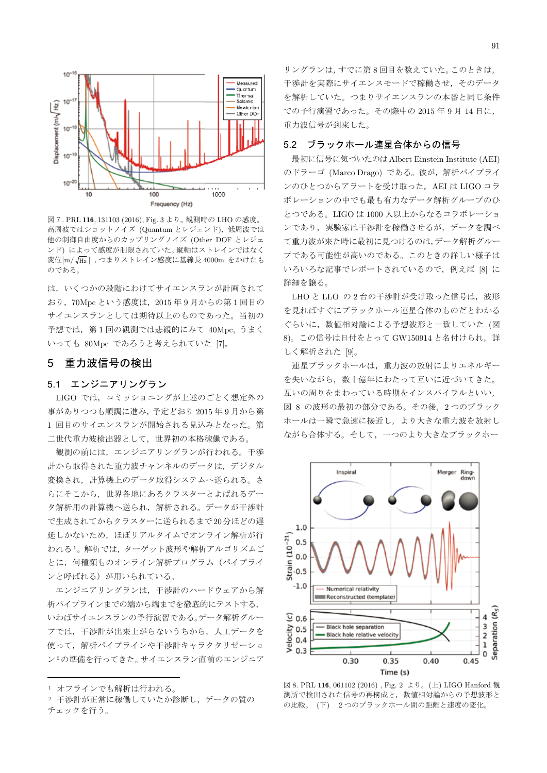

図7.PRL 116, 131103 (2016), Fig. 3 より。観測時の LHO の感度。 高周波ではショットノイズ (Quantum とレジェンド), 低周波では 他の制御自由度からのカップリングノイズ (Other DOF とレジェ ンド)によって感度が制限されていた。縦軸はストレインではなく 変位[m/ $\sqrt{\rm{Hz}}$ ], つまりストレイン感度に基線長 4000m をかけたも のである。

は、いくつかの段階にわけてサイエンスランが計画されて おり、70Mpc という感度は、2015年9月からの第1回目の サイエンスランとしては期待以上のものであった。当初の 予想では、第1回の観測では悲観的にみて 40Mpc. うまく いっても 80Mpc であろうと考えられていた [7]。

### 5 重力波信号の検出

## 5.1 エンジニアリングラン

LIGO では、コミッショニングが上述のごとく想定外の 事がありつつも順調に進み, 予定どおり 2015 年 9 月から第 1回目のサイエンスランが開始される見込みとなった。第 二世代重力波検出器として、世界初の本格稼働である。

観測の前には、エンジニアリングランが行われる。干渉 計から取得された重力波チャンネルのデータは、デジタル 変換され、計算機上のデータ取得システムへ送られる。さ らにそこから、世界各地にあるクラスターとよばれるデー 夕解析用の計算機へ送られ、解析される。データが干渉計 で生成されてからクラスターに送られるまで20分ほどの遅 延しかないため、ほぼリアルタイムでオンライン解析が行 われる1。解析では、ターゲット波形や解析アルゴリズムご とに、何種類ものオンライン解析プログラム (パイプライ ンと呼ばれる)が用いられている。

エンジニアリングランは、干渉計のハードウェアから解 析パイプラインまでの端から端までを徹底的にテストする, いわばサイエンスランの予行演習である。データ解析グルー プでは、干渉計が出来上がらないうちから、人工データを 使って、解析パイプラインや干渉計キャラクタリゼーショ ン2の準備を行ってきた。サイエンスラン直前のエンジニア

ı

リングランは、すでに第8回目を数えていた。このときは, 干渉計を実際にサイエンスモードで稼働させ、そのデータ を解析していた。つまりサイエンスランの本番と同じ条件 での予行演習であった。その際中の 2015 年 9 月 14 日に, 重力波信号が到来した。

#### 5.2 ブラックホール連星合体からの信号

最初に信号に気づいたのは Albert Einstein Institute (AEI) のドラーゴ (Marco Drago) である。彼が,解析パイプライ ンのひとつからアラートを受け取った。AEI は LIGO コラ ボレーションの中でも最も有力なデータ解析グループのひ とつである。LIGO は 1000 人以上からなるコラボレーショ ンであり、実験家は干渉計を稼働させるが、データを調べ て重力波が来た時に最初に見つけるのは、データ解析グルー プである可能性が高いのである。このときの詳しい様子は いろいろな記事でレポートされているので、例えば [8] に 詳細を譲る。

LHO と LLO の2台の干渉計が受け取った信号は、波形 を見ればすぐにブラックホール連星合体のものだとわかる ぐらいに、数値相対論による予想波形と一致していた (図 8)。この信号は日付をとって GW150914 と名付けられ、詳 しく解析された [9]。

連星ブラックホールは、重力波の放射によりエネルギー を失いながら、数十億年にわたって互いに近づいてきた。 互いの周りをまわっている時期をインスパイラルといい, 図 8 の波形の最初の部分である。その後, 2 つのブラック ホールは一瞬で急速に接近し、より大きな重力波を放射し ながら合体する。そして、一つのより大きなブラックホー



図 8. PRL 116, 061102 (2016), Fig. 2 より。(上) LIGO Hanford 観 測所で検出された信号の再構成と、数値相対論からの予想波形と の比較。(下) 2つのブラックホール間の距離と速度の変化。

<sup>1</sup> オフラインでも解析は行われる。

<sup>2</sup> 干渉計が正常に稼働していたか診断し、データの質の チェックを行う。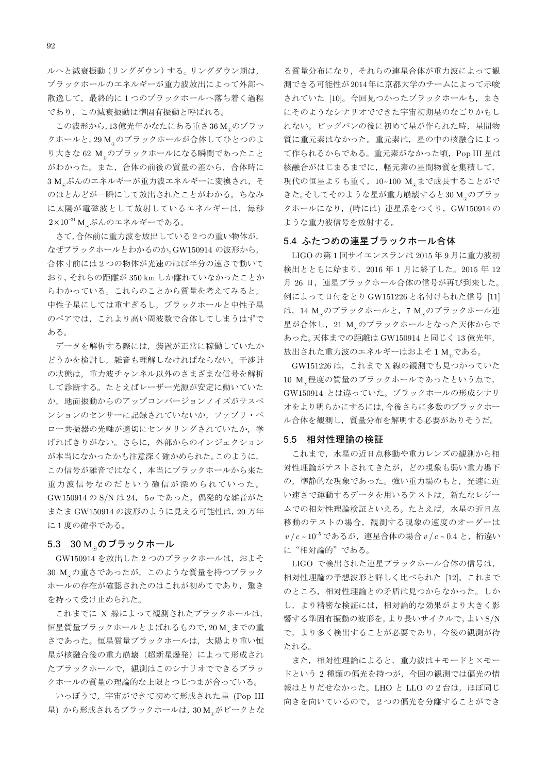ルヘと減衰振動 (リングダウン) する。リングダウン期は、 ブラックホールのエネルギーが重力波放出によって外部へ 散逸して、最終的に1つのブラックホールへ落ち着く渦程 であり、この減衰振動は準固有振動と呼ばれる。

この波形から,13億光年かなたにある重さ36M のブラッ クホールと, 29 M のブラックホールが合体してひとつのよ り大きな 62 M のブラックホールになる瞬間であったこと がわかった。また、合体の前後の質量の差から、合体時に 3M ぶんのエネルギーが重力波エネルギーに変換され、そ のほとんどが一瞬にして放出されたことがわかる。ちなみ に太陽が電磁波として放射しているエネルギーは、毎秒  $2\times10^{-21}$  M ぶんのエネルギーである。

さて,合体前に重力波を放出している2つの重い物体が, なぜブラックホールとわかるのか。GW150914 の波形から, 合体寸前には2つの物体が光速のほぼ半分の速さで動いて おり、それらの距離が 350 km しか離れていなかったことか らわかっている。これらのことから質量を考えてみると、 中性子星にしては重すぎるし、ブラックホールと中性子星 のペアでは、これより高い周波数で合体してしまうはずで あろ

データを解析する際には、装置が正常に稼働していたか どうかを検討し、雑音も理解しなければならない。干渉計 の状態は、重力波チャンネル以外のさまざまな信号を解析 して診断する。たとえばレーザー光源が安定に動いていた か、地面振動からのアップコンバージョンノイズがサスペ ンションのセンサーに記録されていないか、ファブリ・ペ ロー共振器の光軸が適切にセンタリングされていたか、挙 げればきりがない。さらに、外部からのインジェクション が本当になかったかも注意深く確かめられた。このように, この信号が雑音ではなく、本当にブラックホールから来た 重力波信号なのだという確信が深められていった。 GW150914 の S/N は 24, 5σであった。偶発的な雑音がた またま GW150914 の波形のように見える可能性は, 20 万年 に1度の確率である。

#### 5.3 30 M のブラックホール

GW150914 を放出した 2 つのブラックホールは、およそ 30 M の重さであったが、このような質量を持つブラック ホールの存在が確認されたのはこれが初めてであり、驚き を持って受け止められた。

これまでに X 線によって観測されたブラックホールは, 恒星質量ブラックホールとよばれるもので,20M までの重 さであった。恒星質量ブラックホールは、太陽より重い恒 星が核融合後の重力崩壊(超新星爆発)によって形成され たブラックホールで、観測はこのシナリオでできるブラッ クホールの質量の理論的な上限とつじつまが合っている。

いっぽうで、宇宙ができて初めて形成された星 (Pop III 星) から形成されるブラックホールは, 30 M がピークとな

る質量分布になり、それらの連星合体が重力波によって観 測できる可能性が2014年に京都大学のチームによって示唆 されていた [10]。今回見つかったブラックホールも、まさ にそのようなシナリオでできた宇宙初期星のなごりかもし れない。ビッグバンの後に初めて星が作られた時、星間物 質に重元素はなかった。重元素は、星の中の核融合によっ て作られるからである。重元素がなかった頃、Pop III 星は 核融合がはじまるまでに、軽元素の星間物質を集積して、 現代の恒星よりも重く、10~100 M まで成長することがで きた。そしてそのような星が重力崩壊すると30M。のブラッ クホールになり、(時には)連星系をつくり、GW150914の ような重力波信号を放射する。

#### 5.4 ふたつめの連星ブラックホール合体

LIGO の第1回サイエンスランは 2015年9月に重力波初 検出とともに始まり、2016年1月に終了した。2015年12 月26日、連星ブラックホール合体の信号が再び到来した。 例によって日付をとり GW151226 と名付けられた信号 [11] は、14 M のブラックホールと、7 M のブラックホール連 星が合体し、21 M のブラックホールとなった天体からで あった。天体までの距離は GW150914 と同じく 13 億光年, 放出された重力波のエネルギーはおよそ1Mgである。

GW151226 は、これまで X 線の観測でも見つかっていた 10 M 程度の質量のブラックホールであったという点で, GW150914 とは違っていた。ブラックホールの形成シナリ オをより明らかにするには,今後さらに多数のブラックホー ル合体を観測し、質量分布を解明する必要がありそうだ。

#### 5.5 相対性理論の検証

これまで、水星の近日点移動や重力レンズの観測から相 対性理論がテストされてきたが、どの現象も弱い重力場下 の、準静的な現象であった。強い重力場のもと、光速に近 い速さで運動するデータを用いるテストは、新たなレジー ムでの相対性理論検証といえる。たとえば、水星の近日点 移動のテストの場合、観測する現象の速度のオーダーは  $v/c \sim 10^{-5}$ であるが、連星合体の場合 $v/c \sim 0.4$ と、桁違い に"相対論的"である。

LIGO で検出された連星ブラックホール合体の信号は, 相対性理論の予想波形と詳しく比べられた [12]。これまで のところ、相対性理論との矛盾は見つからなかった。しか し、より精密な検証には、相対論的な効果がより大きく影 響する準固有振動の波形を,より長いサイクルで,よいS/N で、より多く検出することが必要であり、今後の観測が待 たれる。

また、相対性理論によると、重力波は+モードと×モー ドという2種類の偏光を持つが、今回の観測では偏光の情 報はとりだせなかった。LHO と LLO の2台は、ほぼ同じ 向きを向いているので、2つの偏光を分離することができ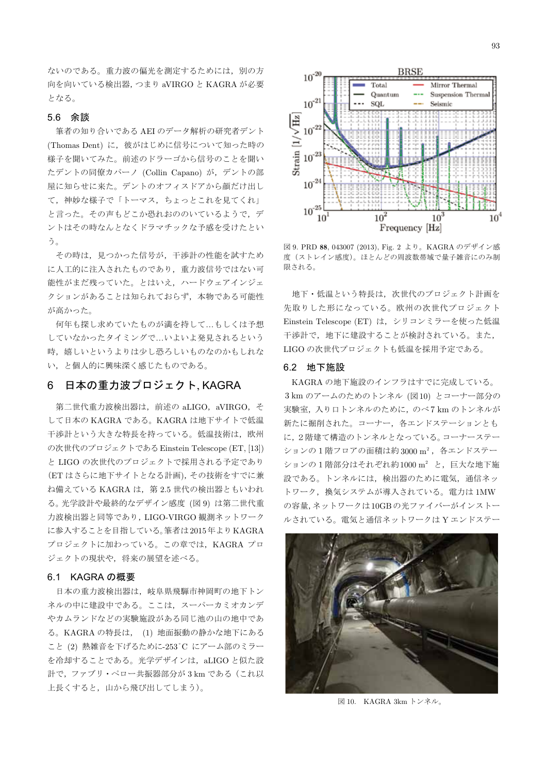ないのである。重力波の偏光を測定するためには、別の方 向を向いている検出器,つまり aVIRGO と KAGRA が必要 トなる。

# 5.6 余談

筆者の知り合いである AEI のデータ解析の研究者デント (Thomas Dent) に、彼がはじめに信号について知った時の 様子を聞いてみた。前述のドラーゴから信号のことを聞い たデントの同僚カパーノ (Collin Capano) が、デントの部 屋に知らせに来た。デントのオフィスドアから顔だけ出し て、神妙な様子で「トーマス、ちょっとこれを見てくれ」 と言った。その声もどこか恐れおののいているようで、デ ントはその時なんとなくドラマチックな予感を受けたとい う。

その時は、見つかった信号が、干渉計の性能を試すため に人工的に注入されたものであり、重力波信号ではない可 能性がまだ残っていた。とはいえ、ハードウェアインジェ クションがあることは知られておらず、本物である可能性 が高かった。

何年も探し求めていたものが満を持して…もしくは予想 していなかったタイミングで…いよいよ発見されるという 時、嬉しいというよりは少し恐ろしいものなのかもしれな い、と個人的に興味深く感じたものである。

#### 6 日本の重力波プロジェクト、KAGRA

第二世代重力波検出器は、前述の aLIGO, aVIRGO, そ して日本の KAGRA である。KAGRA は地下サイトで低温 干渉計という大きな特長を持っている。低温技術は、欧州 の次世代のプロジェクトである Einstein Telescope (ET. [13]) と LIGO の次世代のプロジェクトで採用される予定であり (ET はさらに地下サイトとなる計画), その技術をすでに兼 ね備えている KAGRA は、第2.5世代の検出器ともいわれ る。光学設計や最終的なデザイン感度 (図9)は第二世代重 力波検出器と同等であり, LIGO-VIRGO 観測ネットワーク に参入することを目指している。筆者は2015年よりKAGRA プロジェクトに加わっている。この章では、KAGRA プロ ジェクトの現状や、将来の展望を述べる。

### 6.1 KAGRAの概要

日本の重力波検出器は、岐阜県飛騨市神岡町の地下トン ネルの中に建設中である。ここは、スーパーカミオカンデ やカムランドなどの実験施設がある同じ池の山の地中であ る。KAGRAの特長は、(1)地面振動の静かな地下にある こと (2) 熱雑音を下げるために-253°C にアーム部のミラー を冷却することである。光学デザインは、aLIGOと似た設 計で、ファブリ·ペロー共振器部分が3kmである(これ以 上長くすると、山から飛び出してしまう)。



図 9. PRD 88, 043007 (2013), Fig. 2 より。KAGRA のデザイン感 度(ストレイン感度)。ほとんどの周波数帯域で量子雑音にのみ制 限される。

地下・低温という特長は、次世代のプロジェクト計画を 先取りした形になっている。欧州の次世代プロジェクト Einstein Telescope (ET) は、 シリコンミラーを使った低温 干渉計で、地下に建設することが検討されている。また、 LIGOの次世代プロジェクトも低温を採用予定である。

# 6.2 地下施設

KAGRAの地下施設のインフラはすでに完成している。 3kmのアームのためのトンネル (図10) とコーナー部分の 実験室, 入り口トンネルのために、のべ7 km のトンネルが 新たに掘削された。コーナー、各エンドステーションとも に、2階建て構造のトンネルとなっている。コーナーステー ションの1階フロアの面積は約3000m2, 各エンドステー ションの1階部分はそれぞれ約 $1000 \text{ m}^2$ と, 巨大な地下施 設である。トンネルには、検出器のために電気、通信ネッ トワーク、換気システムが導入されている。電力は1MW の容量,ネットワークは10GBの光ファイバーがインストー ルされている。電気と通信ネットワークはYエンドステー



図 10. KAGRA 3km トンネル。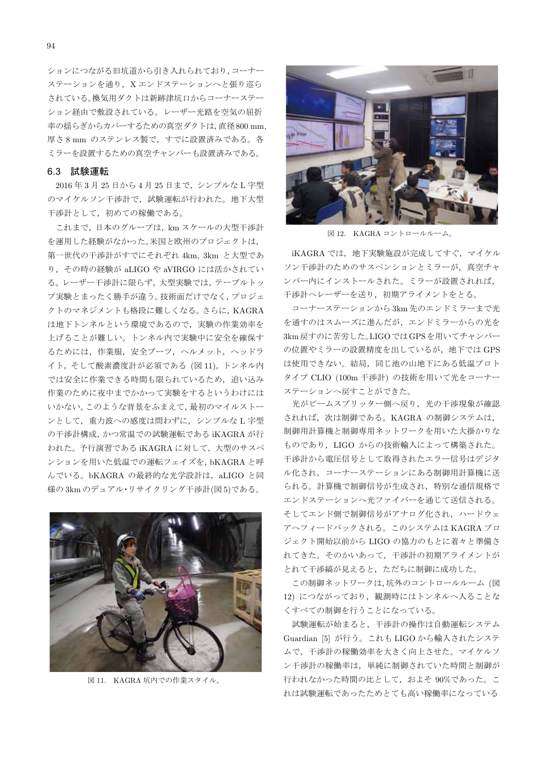ションにつながる旧坑道から引き入れられており、コーナー ステーションを通り、Xエンドステーションへと張り巡ら されている。換気用ダクトは新跡津坑口からコーナーステー ション経由で敷設されている。レーザー光路を空気の屈折 率の揺らぎからカバーするための真空ダクトは,直径800 mm, 厚さ8mm のステンレス製で、すでに設置済みである。各 ミラーを設置するための真空チャンバーも設置済みである。

#### 6.3 試験運転

2016年3月25日から4月25日まで、シンプルなL字型 のマイケルソン干渉計で、試験運転が行われた。地下大型 干渉計として、初めての稼働である。

これまで、日本のグループは、km スケールの大型干渉計 を運用した経験がなかった。米国と欧州のプロジェクトは、 第一世代の干渉計がすでにそれぞれ 4km, 3km と大型であ り、その時の経験が aLIGO や aVIRGO には活かされてい る。レーザー干渉計に限らず、大型実験では、テーブルトッ プ実験とまったく勝手が違う。技術面だけでなく、プロジェ クトのマネジメントも格段に難しくなる。さらに、KAGRA は地下トンネルという環境であるので、実験の作業効率を 上げることが難しい。トンネル内で実験中に安全を確保す るためには、作業服、安全ブーツ、ヘルメット、ヘッドラ イト、そして酸素濃度計が必須である (図11)。トンネル内 では安全に作業できる時間も限られているため、追い込み 作業のために夜中までかかって実験をするというわけには いかない。このような背景をふまえて、最初のマイルストー ンとして、重力波への感度は問わずに、シンプルなL字型 の干渉計構成,かつ常温での試験運転である iKAGRA が行 われた。予行演習である iKAGRA に対して、大型のサスペ ンションを用いた低温での運転フェイズを、bKAGRAと呼 んでいる。bKAGRA の最終的な光学設計は、aLIGO と同 様の3kmのデュアル·リサイクリング干渉計(図5)である。



図 11. KAGRA 坑内での作業スタイル。



図 12. KAGRA コントロールルーム。

iKAGRA では、地下実験施設が完成してすぐ、マイケル ソン干渉計のためのサスペンションとミラーが、真空チャ ンバー内にインストールされた。ミラーが設置されれば, 干渉計ヘレーザーを送り、初期アライメントをとる。

コーナーステーションから 3km 先のエンドミラーまで光 を通すのはスムーズに進んだが、エンドミラーからの光を 3km 戻すのに苦労した。LIGO ではGPSを用いてチャンバー の位置やミラーの設置精度を出しているが、地下では GPS は使用できない。結局、同じ池の山地下にある低温プロト タイプ CLIO (100m 干渉計)の技術を用いて光をコーナー ステーションへ戻すことができた。

光がビームスプリッター側へ戻り、光の干渉現象が確認 されれば、次は制御である。KAGRA の制御システムは, 制御用計算機と制御専用ネットワークを用いた大掛かりな ものであり、LIGO からの技術輸入によって構築された。 干渉計から電圧信号として取得されたエラー信号はデジタ ル化され、コーナーステーションにある制御用計算機に送 られる。計算機で制御信号が生成され、特別な通信規格で エンドステーションへ光ファイバーを通じて送信される。 そしてエンド側で制御信号がアナログ化され、ハードウェ アヘフィードバックされる。このシステムはKAGRAプロ ジェクト開始以前から LIGO の協力のもとに着々と準備さ れてきた。そのかいあって、干渉計の初期アライメントが とれて干渉縞が見えると、ただちに制御に成功した。

この制御ネットワークは、坑外のコントロールルーム (図 12) につながっており、観測時にはトンネルへ入ることな くすべての制御を行うことになっている。

試験運転が始まると、干渉計の操作は自動運転システム Guardian [5] が行う。これも LIGO から輸入されたシステ ムで、干渉計の稼働効率を大きく向上させた。マイケルソ ン干渉計の稼働率は、単純に制御されていた時間と制御が 行われなかった時間の比として、およそ90%であった。こ れは試験運転であったためとても高い稼働率になっている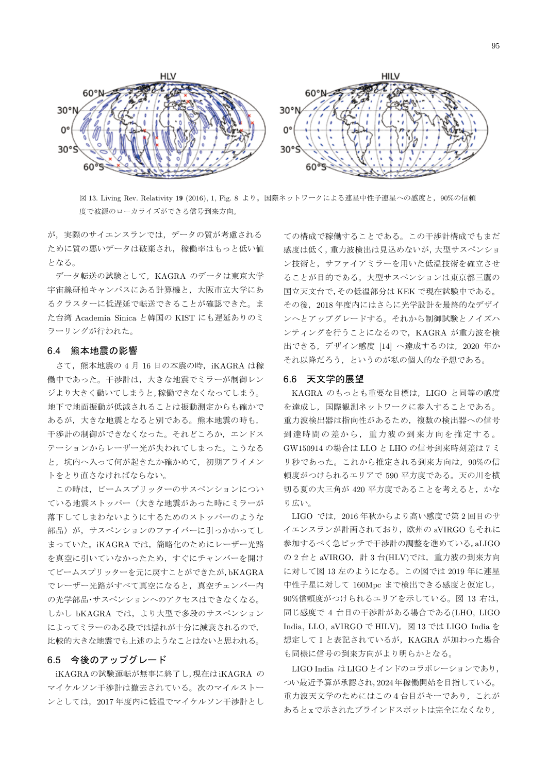

図 13. Living Rev. Relativity 19 (2016). 1. Fig. 8 より。国際ネットワークによる連星中性子連星への感度と, 90%の信頼 度で波源のローカライズができる信号到来方向。

が、実際のサイエンスランでは、データの質が考慮される ために質の悪いデータは破棄され、稼働率はもっと低い値 となる。

データ転送の試験として、KAGRA のデータは東京大学 宇宙線研柏キャンパスにある計算機と、大阪市立大学にあ るクラスターに低遅延で転送できることが確認できた。ま た台湾 Academia Sinica と韓国の KIST にも遅延ありのミ ラーリングが行われた。

#### 6.4 熊本地震の影響

さて、熊本地震の4月16日の本震の時、iKAGRAは稼 働中であった。干渉計は、大きな地震でミラーが制御レン ジより大きく動いてしまうと,稼働できなくなってしまう。 地下で地面振動が低減されることは振動測定からも確かで あるが、大きな地震となると別である。熊本地震の時も、 干渉計の制御ができなくなった。それどころか,エンドス テーションからレーザー光が失われてしまった。こうなる と、坑内へ入って何が起きたか確かめて、初期アライメン トをとり直さなければならない。

この時は、ビームスプリッターのサスペンションについ ている地震ストッパー(大きな地震があった時にミラーが 落下してしまわないようにするためのストッパーのような 部品)が、サスペンションのファイバーに引っかかってし まっていた。iKAGRA では、簡略化のためにレーザー光路 を真空に引いていなかったため、すぐにチャンバーを開け てビームスプリッターを元に戻すことができたが,bKAGRA でレーザー光路がすべて真空になると、真空チェンバー内 の光学部品・サスペンションへのアクセスはできなくなる。 しかし bKAGRA では、より大型で多段のサスペンション によってミラーのある段では揺れが十分に減衰されるので, 比較的大きな地震でも上述のようなことはないと思われる。

### 6.5 今後のアップグレード

iKAGRAの試験運転が無事に終了し、現在はiKAGRAの マイケルソン干渉計は撤去されている。次のマイルストー ンとしては、2017年度内に低温でマイケルソン干渉計とし

ての構成で稼働することである。この干渉計構成でもまだ 感度は低く、重力波検出は見込めないが、大型サスペンショ ン技術と、サファイアミラーを用いた低温技術を確立させ ることが目的である。大型サスペンションは東京都三鷹の 国立天文台で、その低温部分は KEK で現在試験中である。 その後、2018年度内にはさらに光学設計を最終的なデザイ ンへとアップグレードする。それから制御試験とノイズハ ンティングを行うことになるので、KAGRA が重力波を検 出できる、デザイン感度 [14] へ達成するのは、2020 年か それ以降だろう、というのが私の個人的な予想である。

#### 6.6 天文学的展望

KAGRA のもっとも重要な目標は、LIGO と同等の感度 を達成し、国際観測ネットワークに参入することである。 重力波検出器は指向性があるため、複数の検出器への信号 到達時間の差から、重力波の到来方向を推定する。 GW150914 の場合は LLO と LHO の信号到来時刻差は7ミ リ秒であった。これから推定される到来方向は、90%の信 頼度がつけられるエリアで 590 平方度である。天の川を横 切る夏の大三角が 420 平方度であることを考えると、かな り広い。

LIGO では、2016年秋からより高い感度で第2回目のサ イエンスランが計画されており、欧州の aVIRGO もそれに 参加するべく急ピッチで干渉計の調整を進めている。aLIGO の2台と aVIRGO, 計3台(HLV)では、重力波の到来方向 に対して図 13 左のようになる。この図では 2019 年に連星 中性子星に対して 160Mpc まで検出できる感度と仮定し, 90%信頼度がつけられるエリアを示している。図 13 右は, 同じ感度で 4 台目の干渉計がある場合である(LHO, LIGO India, LLO, aVIRGO で HILV)。図 13 では LIGO India を 想定してIと表記されているが、KAGRA が加わった場合 も同様に信号の到来方向がより明らかとなる。

LIGO India はLIGOとインドのコラボレーションであり, つい最近予算が承認され,2024年稼働開始を目指している。 重力波天文学のためにはこの4台目がキーであり、これが あるとxで示されたブラインドスポットは完全になくなり,